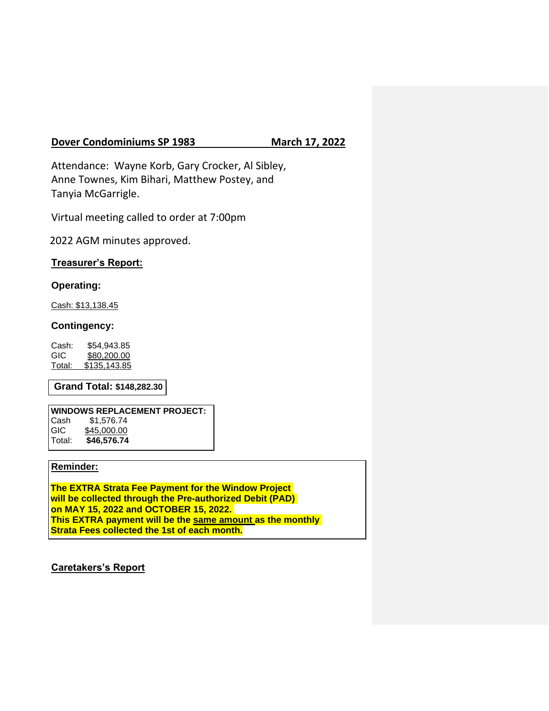# **Dover Condominiums SP 1983** March 17, 2022

Attendance: Wayne Korb, Gary Crocker, Al Sibley, Anne Townes, Kim Bihari, Matthew Postey, and Tanyia McGarrigle.

Virtual meeting called to order at 7:00pm

2022 AGM minutes approved.

## **Treasurer's Report:**

## **Operating:**

Cash: \$13,138.45

#### **Contingency:**

Cash: \$54,943.85 GIC \$80,200.00 Total: \$135,143.85

**Grand Total: \$148,282.30**

**WINDOWS REPLACEMENT PROJECT:**  Cash \$1,576.74<br>GIC \$45,000.00 GIC <u>\$45,000.00</u><br>Total: **\$46,576.74** \$46,576.74

#### **Reminder:**

**The EXTRA Strata Fee Payment for the Window Project will be collected through the Pre-authorized Debit (PAD) on MAY 15, 2022 and OCTOBER 15, 2022. This EXTRA payment will be the same amount as the monthly Strata Fees collected the 1st of each month.**

## **Caretakers's Report**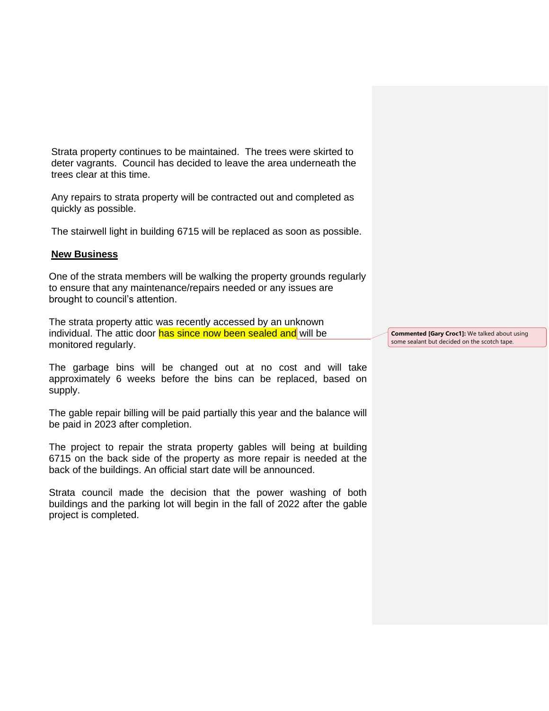Strata property continues to be maintained. The trees were skirted to deter vagrants. Council has decided to leave the area underneath the trees clear at this time.

Any repairs to strata property will be contracted out and completed as quickly as possible.

The stairwell light in building 6715 will be replaced as soon as possible.

#### **New Business**

One of the strata members will be walking the property grounds regularly to ensure that any maintenance/repairs needed or any issues are brought to council's attention.

The strata property attic was recently accessed by an unknown individual. The attic door has since now been sealed and will be monitored regularly.

The garbage bins will be changed out at no cost and will take approximately 6 weeks before the bins can be replaced, based on supply.

The gable repair billing will be paid partially this year and the balance will be paid in 2023 after completion.

The project to repair the strata property gables will being at building 6715 on the back side of the property as more repair is needed at the back of the buildings. An official start date will be announced.

Strata council made the decision that the power washing of both buildings and the parking lot will begin in the fall of 2022 after the gable project is completed.

**Commented [Gary Croc1]:** We talked about using some sealant but decided on the scotch tape.